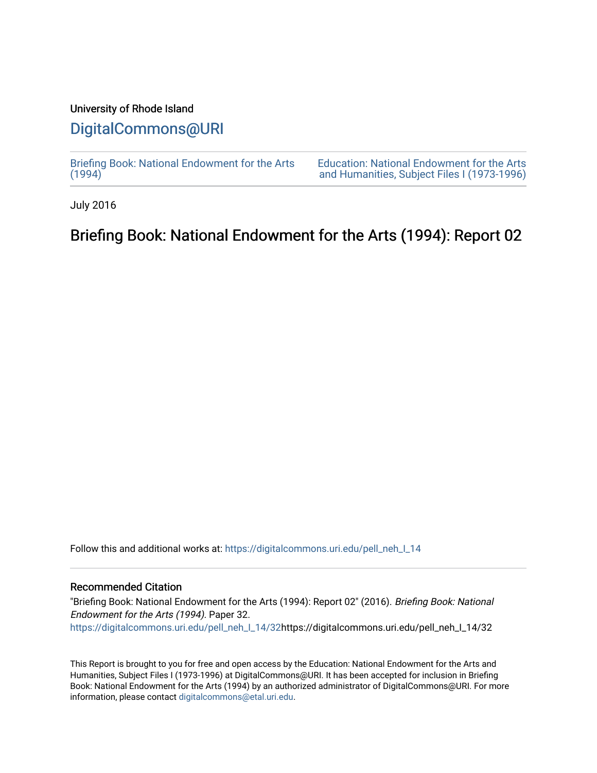### University of Rhode Island

## [DigitalCommons@URI](https://digitalcommons.uri.edu/)

[Briefing Book: National Endowment for the Arts](https://digitalcommons.uri.edu/pell_neh_I_14)  $(1994)$ 

[Education: National Endowment for the Arts](https://digitalcommons.uri.edu/pell_neh_I)  [and Humanities, Subject Files I \(1973-1996\)](https://digitalcommons.uri.edu/pell_neh_I) 

July 2016

# Briefing Book: National Endowment for the Arts (1994): Report 02

Follow this and additional works at: [https://digitalcommons.uri.edu/pell\\_neh\\_I\\_14](https://digitalcommons.uri.edu/pell_neh_I_14?utm_source=digitalcommons.uri.edu%2Fpell_neh_I_14%2F32&utm_medium=PDF&utm_campaign=PDFCoverPages) 

#### Recommended Citation

"Briefing Book: National Endowment for the Arts (1994): Report 02" (2016). Briefing Book: National Endowment for the Arts (1994). Paper 32. [https://digitalcommons.uri.edu/pell\\_neh\\_I\\_14/32h](https://digitalcommons.uri.edu/pell_neh_I_14/32?utm_source=digitalcommons.uri.edu%2Fpell_neh_I_14%2F32&utm_medium=PDF&utm_campaign=PDFCoverPages)ttps://digitalcommons.uri.edu/pell\_neh\_I\_14/32

This Report is brought to you for free and open access by the Education: National Endowment for the Arts and Humanities, Subject Files I (1973-1996) at DigitalCommons@URI. It has been accepted for inclusion in Briefing Book: National Endowment for the Arts (1994) by an authorized administrator of DigitalCommons@URI. For more information, please contact [digitalcommons@etal.uri.edu.](mailto:digitalcommons@etal.uri.edu)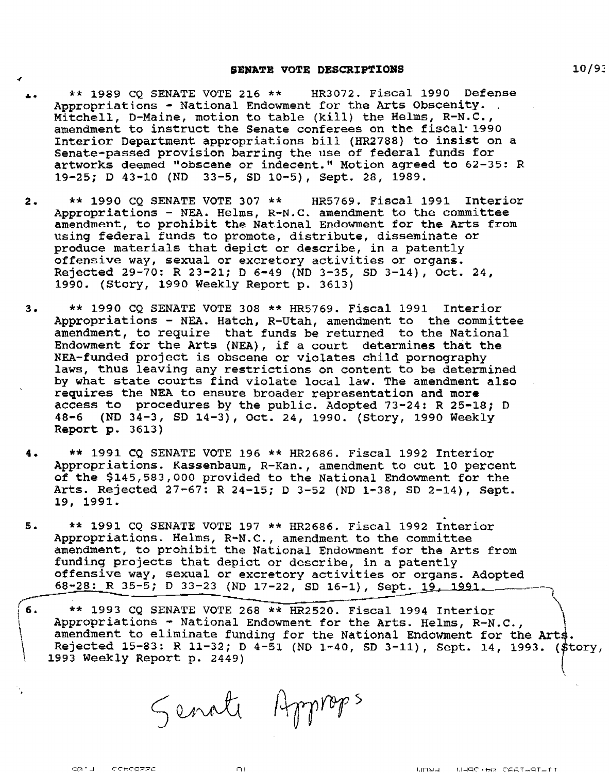#### SENATE VOTE DESCRIPTIONS

- .... \*\* 1989 CQ SENATE VOTE 216 \*\* HR3072. Fiscal 1990 Defense Appropriations - National Endowment for the Arts Obscenity. Mitchell, D-Maine, motion to table (kill) the Helms, R-N.C., amendment to instruct the Senate conferees on the fiscal 1990 Interior Department appropriations bill {HR2788) to insist on a Senate-passed provision barring the use of federal funds for artworks deemed "obscene or indecent." Motion agreed to 62-35: R 19-25; D 43-10 (ND 33-5, SD 10-5), Sept. 28, 1989.
- 2. \*\* 1990 CQ SENATE VOTE 307 \*\* HR5769. Fiscal 1991 Interior Appropriations - NEA. Helms, R-N.C. amendment to the committee amendment, to prohibit the National Endowment for the Arts from using federal funds to promote, distribute, disseminate or produce materials that depict or describe, in a patently offensive way, sexual or excretory activities or organs. Rejected 29-70: R 23-21; D 6-49 (ND 3-35, SD 3-14), Oct. 24, 1990. (Story, 1990 Weekly Report p. 3613)
- 3. \*\* 1990 CQ SENATE VOTE 308 \*\* HR5769. Fiscal 1991 Interior Appropriations - NEA. Hatch, R-Utah, amendment to the committee amendment, to require that funds be returned to the National Endowment for the Arts (NEA), if a court determines that the NEA-funded project is obscene or violates child pornography laws, thus leaving any restrictions on content to be determined by what state courts find violate local law. The amendment also requires the NEA to ensure broader representation and more access to procedures by the public. Adopted 73-24: R 25-18; D 48-6 (ND 34-3, SD 14-3), Oct. 24, 1990. (Story, 1990 Weekly Report p. 3613)
- 4. \*\* 1991 CQ SENATE VOTE 196 \*\* HR2686. Fiscal 1992 Interior Appropriations. Kassenbaum, R-Kan., amendment to cut 10 percent of the \$145,583,000 provided to the National Endowment for the Arts. Rejected 27-67: R 24-15; D 3-52 (ND 1-38, SD 2-14), Sept. 19, 1991.
- s. . \*\* 1991 CQ SENATE VOTE 197 \*\* HR2686. Fiscal 1992 Interior Appropriations. Helms, R-N.C., amendment to the committee amendment, to prohibit the National Endowment for the Arts from funding projects that depict or describe, in a patently offensive way, sexual or excretory activities or organs. Adopted 68-28: R 35-5; D 33-23 (ND 17-22, SD 16-1), Sept. 19, 1991.
- $6.$  $\left\{ \right.$  $\vert$ \*\* 1993 CQ SENATE VOTE 268 \*\* HR2520. Fiscal 1994 Interior Appropriations - National Endowment for the Arts. Helms, R-N.C., amendment to eliminate funding for the National Endowment for the Arts. Rejected 15-83: R 11-32; D 4-51 (ND 1-40, SD 3-11), Sept. 14, 1993. (\$tory, 1993 Weekly Report p. 2449)

Senate Approps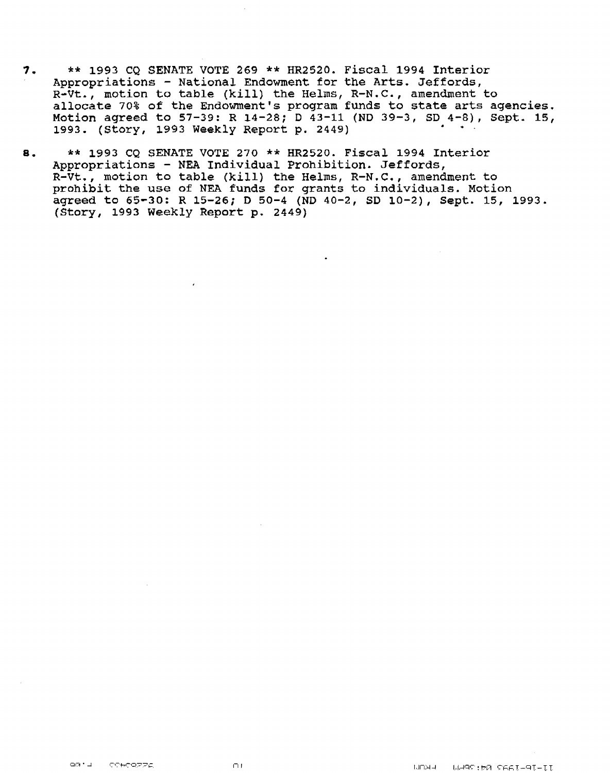- *1.* \*\* 1993 CQ SENATE VOTE 269 \*\* HR2520. Fiscal 1994 Interior Appropriations - National Endowment for the Arts. Jeffords, R-Vt., motion to table (kill) the Helms, R-N.C., amendment to allocate 70% of the Endowment's program funds to state arts agencies. Motion agreed to 57-39: R 14-28; D 43-11 (ND 39-3, SD 4-8), Sept. 15, 1993. (Story, 1993 Weekly Report p. 2449)
- a. \*\* 1993 CQ SENATE VOTE 270 \*\* HR2520. Fiscal 1994 Interior Appropriations - NEA Individual Prohibition. Jeffords, R-Vt., motion to table (kill) the Helms, R-N.C., amendment to prohibit the use of NEA funds for grants to individuals. Motion agreed to 65-30: R 15-26; O 50-4 (ND 40-2, SD 10-2), Sept. 15, 1993. (Story, 1993 Weekly Report p. 2449)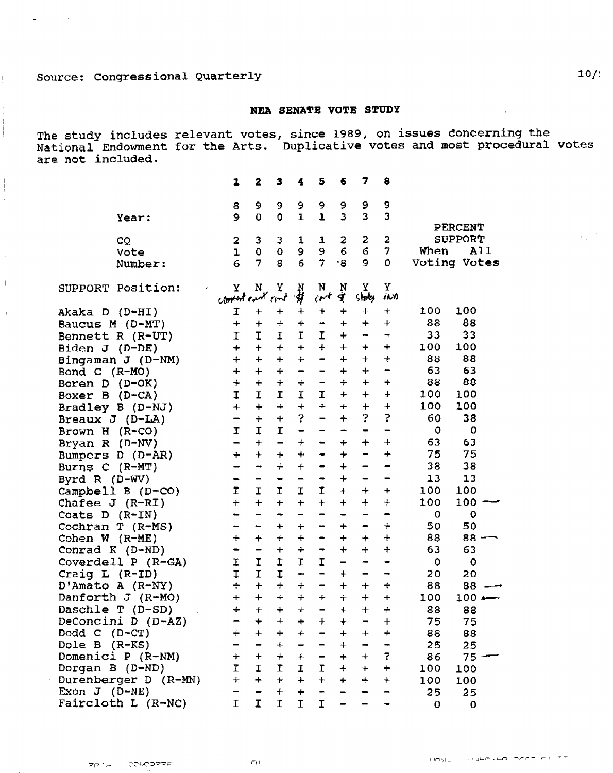$\Delta \sim 10^4$ 

 $\sim 100$ 

### **NEA SENATE VOTE STUDY**

The study includes relevant votes, since 1989, on issues doncerning the National Endowment for the Arts. Duplicative votes and most procedural votes are not included.

| 5<br>7<br>3<br>6<br>8<br>2<br>1<br>4                                                                                                                    |                   |
|---------------------------------------------------------------------------------------------------------------------------------------------------------|-------------------|
| 9<br>9<br>9<br>9<br>9<br>9<br>9<br>8                                                                                                                    |                   |
| 3<br>3<br>3<br>$\mathbf{1}$<br>9<br>$\mathbf 0$<br>$\circ$<br>$\mathbf{1}$<br>Year:                                                                     |                   |
| <b>PERCENT</b>                                                                                                                                          |                   |
| $\mathbf{z}$<br>$\overline{\mathbf{c}}$<br><b>SUPPORT</b><br>$\mathbf{z}$<br>2<br>3<br>3<br>1<br>CQ<br>1                                                |                   |
| 9<br>$\epsilon$<br>6<br>$\overline{\tau}$<br>9<br>When<br>$\mathbf 0$<br>$\mathbf{o}$<br>Vote<br>ı                                                      | <b>A11</b>        |
| $\overline{7}$<br>$\overline{7}$<br>6<br>$\cdot$ g<br>9<br>$\Omega$<br>Voting Votes<br>8<br>6<br>Number:                                                |                   |
|                                                                                                                                                         |                   |
| Υ<br>N<br>Υ<br>$\frac{N}{4}$<br>Υ<br>SUPPORT Position:<br>$\mathbf{Y}$<br>$\frac{N}{N}$<br>N                                                            |                   |
| ct<br>shotes.<br>contact cont cant<br>ino                                                                                                               |                   |
| 100<br>100<br>I<br>$\ddag$<br>Akaka D (D-HI)<br>$\div$<br>+<br>┿<br>$\mathbf +$<br>+<br>┿                                                               |                   |
| 88<br>88<br>Baucus M (D-MT)<br>$\div$<br>$\ddot{}$<br>$\div$<br>$\ddot{}$<br>$\div$<br>$\div$<br>$\div$<br>٠                                            |                   |
| 33<br>33<br>$\mathbf I$<br>I<br>I<br>$\mathbf I$<br>Bennett R (R-UT)<br>I<br>$\div$<br>-<br>⇒                                                           |                   |
| $\ddot{}$<br>100<br>100<br>$+$<br>$\ddot{}$<br>$+$<br>$\ddot{}$<br>$\ddot{}$<br>Biden J (D-DE)<br>$\div$<br>÷                                           |                   |
| 88<br>88<br>$\div$<br>$\ddot{}$<br>$+$<br>$\ddagger$<br>$\ddot{+}$<br>Bingaman J (D-NM)<br>$\ddot{+}$<br>$\ddotmark$<br>-                               |                   |
| 63<br>63<br>$+$<br>$\ddot{}$<br>$\ddot{}$<br>$\div$<br>Bond $C$ (R-MO)<br>$\div$<br>÷<br>-<br>-                                                         |                   |
| 88<br>88<br>$\ddot{+}$<br>$\ddot{}$<br>$\ddot{}$<br>$\ddot{+}$<br>$+$<br>÷<br>Boren D (D-OK)<br>$\div$<br>$\qquad \qquad \blacksquare$                  |                   |
| I<br>$\mathbf I$<br>100<br>100<br>I<br>I<br>I<br>$+$<br>$\ddag$<br>$\div$<br>Boxer B (D-CA)                                                             |                   |
| $+$<br>$\ddot{}$<br>100<br>100<br>$\ddot{}$<br>$\div$<br>$\ddot{}$<br>$+$<br>$\ddag$<br>Bradley B (D-NJ)<br>$+$                                         |                   |
| 2<br>?<br>?<br>60<br>$\ddot{}$<br>$\overline{\phantom{0}}$<br>$\ddot{}$<br>$\ddot{}$<br>Breaux $J$ (D-LA)<br>-                                          | 38                |
| $\mathbf I$<br>I<br>$\mathbf 0$<br>$\mathbf I$<br>Brown H $(R-CO)$<br>-<br>-<br>-<br>-<br>-                                                             | $\mathbf o$       |
| 63<br>63<br>$+$<br>$\qquad \qquad -$<br>$+$<br>Bryan R (D-NV)<br>$\ddotmark$<br>$\div$<br>$\div$<br>-<br>⇔                                              |                   |
| $\ddot{+}$<br>L.<br>75<br>$+$<br>$\ddot{}$<br>$\div$<br>Bumpers D (D-AR)<br>$\div$<br>$\bm{+}$<br>۰                                                     | 75                |
| 38<br>38<br>$\ddot{+}$<br>$\ddot{}$<br>$+$<br>Burns C (R-MT)<br>⊷<br>$\blacksquare$<br>-                                                                |                   |
| 13<br>13<br>$\ddag$<br>Byrd R $(D-WV)$<br>-<br>-<br>$\qquad \qquad \blacksquare$<br>$\overline{\phantom{a}}$<br>-                                       |                   |
| Ī<br>I<br>$\ddot{+}$<br>I<br><b>T</b><br>I<br>100<br>100<br>Campbell B (D-CO)<br>$\div$<br>$\div$                                                       |                   |
| $+$<br>100<br>100<br>$+$<br>$\div$<br>$+$<br>$\ddag$<br>$\ddot{}$<br>$\ddot{}$<br>Chafee $J$ (R-RI)<br>$\div$                                           |                   |
| 0<br>Coats $D$ (R-IN)<br>-<br>-<br>⊷<br>$\ddot{\phantom{1}}$<br>-<br>-<br>-<br>-                                                                        | 0                 |
| 50<br>Cochran T (R-MS)<br>$\div$<br>$\div$<br>▄<br>÷<br>$\bm{+}$<br>$\bullet$<br>$\overline{\phantom{a}}$<br>-                                          | 50                |
| 88<br>$\ddot{}$<br>$\div$<br>Cohen $W$ (R-ME)<br>$\div$<br>$\div$<br>$\div$<br>$\ddag$<br>$\div$<br>$\qquad \qquad \blacksquare$                        | $88 -$            |
| 63<br>63<br>Conrad K (D-ND)<br>$\div$<br>$\ddot{}$<br>$\qquad \qquad \blacksquare$<br>$\ddot{}$<br>$\div$<br>$\ddot{}$<br>-<br>$\overline{\phantom{a}}$ |                   |
| $\mathbf I$<br>I<br>I<br>Coverdell P (R-GA)<br>I<br>$\mathbf I$<br>$\circ$<br>-<br>-<br>-                                                               | $\mathbf 0$       |
| $\mathbf I$<br>I<br>$\mathbf T$<br>Craig L (R-ID)<br>20<br>$\overline{\phantom{0}}$<br>$\ddagger$<br>-<br>-                                             | 20                |
| $\ddot{\tau}$<br>D'Amato A (R-NY)<br>$\ddot{+}$<br>$\ddot{}$<br>88<br>$+$<br>$\ddotmark$<br>$\div$<br>$\div$<br>-                                       | 88                |
| $\ddot{+}$<br>Danforth J (R-MO)<br>$\ddot{}$<br>$\ddot{}$<br>$+$<br>$\ddot{+}$<br>$\ddot{+}$<br>$\div$<br>$\div$<br>100                                 | $100 \rightarrow$ |
| Daschle T (D-SD)<br>88<br>┷<br>88<br>$+$<br>$\begin{array}{c} + \end{array}$<br>$\ddot{}$<br>$\ddot{\phantom{1}}$<br>$+$<br>$\div$                      |                   |
| DeConcini D (D-AZ)<br>75<br>$+$<br>$\ddot{}$<br>$\ddag$<br>$\ddag$<br>+<br>$\div$                                                                       | 75                |
| $\ddot{}$<br>$\ddot{}$<br>$+$<br>Dodd $C$ (D-CT)<br>$+$<br>88<br>$\ddot{}$<br>88<br>$\ddag$                                                             |                   |
| Dole B (R-KS)<br>$+$<br>$+$<br>25<br>25<br>-                                                                                                            |                   |
| Domenici P (R-NM)<br>$\ddot{}$<br>?<br>$+$<br>$\begin{array}{c} + \end{array}$<br>86<br>$\ddag$<br>$+$<br>$+$<br>$\qquad \qquad \blacksquare$           | 75                |
| I<br>$\mathbf I$<br>$\mathbf I$<br>$\mathbf I$<br>Dorgan B (D-ND)<br>$\mathbf{I}$<br>$+$<br>$\ddot{}$<br>100<br>$\ddot{}$<br>100                        |                   |
| $\ddot{+}$<br>Durenberger D (R-MN)<br>$\ddotmark$<br>$+$<br>$+$<br>$\ddot{}$<br>$\div$<br>$+$<br>$+$<br>100<br>100                                      |                   |
| Exon $J$ (D-NE)<br>$+$<br>$\div$<br>25<br>-<br>25<br>$\rightarrow$                                                                                      |                   |
| Faircloth L (R-NC)<br>I<br>$\mathbf I$<br>I<br>I<br>I<br>O                                                                                              | 0                 |

 $\sigma_{\rm{in}}$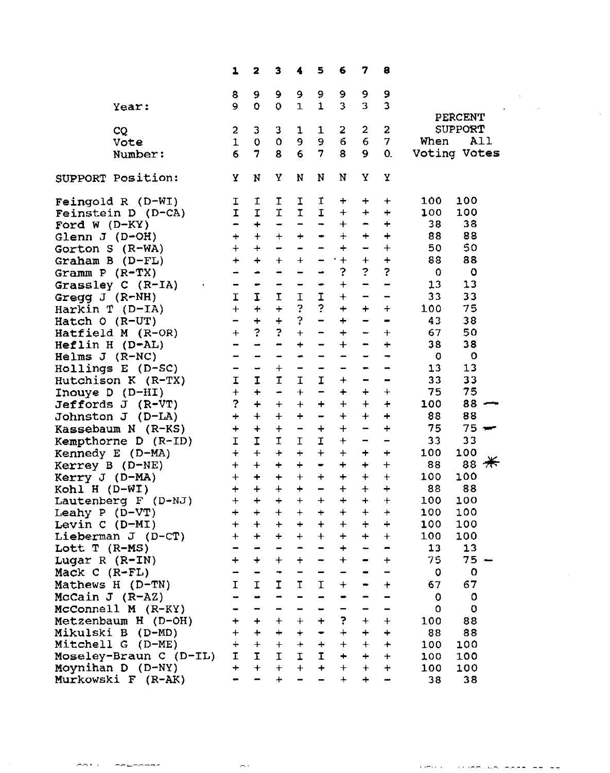|                       |                                         | $\mathbf{1}$                 | 2                            | з                                | 4                 | 5                            | 6                            | 7                            | 8                                                                                                                                                                                                                                                                                                                                                                                                                                                                                                     |             |                |
|-----------------------|-----------------------------------------|------------------------------|------------------------------|----------------------------------|-------------------|------------------------------|------------------------------|------------------------------|-------------------------------------------------------------------------------------------------------------------------------------------------------------------------------------------------------------------------------------------------------------------------------------------------------------------------------------------------------------------------------------------------------------------------------------------------------------------------------------------------------|-------------|----------------|
|                       |                                         |                              |                              |                                  |                   |                              |                              |                              |                                                                                                                                                                                                                                                                                                                                                                                                                                                                                                       |             |                |
|                       |                                         | 8<br>9                       | 9<br>o                       | 9                                | 9<br>$\mathbf{1}$ | 9<br>$\mathbf{1}$            | 9<br>3                       | 9<br>3                       | 9<br>3                                                                                                                                                                                                                                                                                                                                                                                                                                                                                                |             |                |
|                       | Year:                                   |                              |                              | $\mathbf 0$                      |                   |                              |                              |                              |                                                                                                                                                                                                                                                                                                                                                                                                                                                                                                       |             | <b>PERCENT</b> |
|                       | CQ                                      | $\overline{a}$               | $\mathbf{3}$                 | $\mathbf{3}$                     | $\mathbf{1}$      | $\mathbf{1}$                 | 2                            | $\overline{2}$               | $\mathbf{2}$                                                                                                                                                                                                                                                                                                                                                                                                                                                                                          |             | <b>SUPPORT</b> |
|                       | Vote                                    | $\mathbf{1}$                 | $\mathbf{o}$                 | $\mathbf{o}$                     | 9                 | 9                            | 6                            | 6                            | $\mathbf{7}$                                                                                                                                                                                                                                                                                                                                                                                                                                                                                          | When        | A <sub>1</sub> |
|                       | Number:                                 | 6                            | 7                            | 8                                | $6\phantom{a}$    | $\overline{7}$               | 8                            | $\mathbf 9$                  | 0.                                                                                                                                                                                                                                                                                                                                                                                                                                                                                                    |             | Voting Votes   |
|                       |                                         |                              |                              |                                  |                   |                              |                              |                              |                                                                                                                                                                                                                                                                                                                                                                                                                                                                                                       |             |                |
|                       | SUPPORT Position:                       | Υ                            | N                            | Y                                | N                 | N                            | N                            | Y                            | Y                                                                                                                                                                                                                                                                                                                                                                                                                                                                                                     |             |                |
|                       |                                         |                              |                              |                                  |                   |                              |                              |                              |                                                                                                                                                                                                                                                                                                                                                                                                                                                                                                       | 100         | 100            |
|                       | Feingold R (D-WI)<br>Feinstein D (D-CA) | $\mathbf{I}$<br>$\mathbf{I}$ | $\mathbf{I}$<br>$\mathbf T$  | I<br>$\mathbf T$                 | $\frac{1}{1}$     | I<br>$\mathbf I$             | $\div$<br>$+$                | ÷<br>$\ddag$                 | $\ddot{}$<br>$\div$                                                                                                                                                                                                                                                                                                                                                                                                                                                                                   | 100         | 100            |
| Ford W $(D-KY)$       |                                         | $\blacksquare$               | $+$                          | $\rightarrow$                    |                   | -                            | $+$                          | $\blacksquare$               | $\begin{array}{c} \color{red} \textbf{+} \color{blue} \textbf{+} \color{blue} \textbf{+} \color{blue} \textbf{+} \color{blue} \textbf{+} \color{blue} \textbf{+} \color{blue} \textbf{+} \color{blue} \textbf{+} \color{blue} \textbf{+} \color{blue} \textbf{+} \color{blue} \textbf{+} \color{blue} \textbf{+} \color{blue} \textbf{+} \color{blue} \textbf{+} \color{blue} \textbf{+} \color{blue} \textbf{+} \color{blue} \textbf{+} \color{blue} \textbf{+} \color{blue} \textbf{+} \color{blue$ | 38          | 38             |
| Glenn J $(D+OH)$      |                                         | $+$ $+$                      |                              | $+$                              | $\,{}^+$          |                              | $\boldsymbol{+}$             | $\div$                       | $\boldsymbol{+}$                                                                                                                                                                                                                                                                                                                                                                                                                                                                                      | 88          | 88             |
| Gorton $S$ (R-WA)     |                                         | $+$                          | $+$                          | -                                |                   |                              | $\div$                       | $\overline{\phantom{0}}$     | $\color{red}{+}$                                                                                                                                                                                                                                                                                                                                                                                                                                                                                      | 50          | 50             |
| Graham B $(D-FL)$     |                                         | $\ddotmark$                  | $\ddot{+}$                   | $\ddot{}$                        | $\boldsymbol{+}$  |                              | $\cdot$ +                    | $+$                          | $\ddot{+}$                                                                                                                                                                                                                                                                                                                                                                                                                                                                                            | 88          | 88             |
| Gramm $P$ (R-TX)      |                                         | -                            | $\ddot{\phantom{1}}$         | -                                | -                 |                              | $\ddot{\cdot}$               | $\overline{?}$               | $\ddot{\phantom{0}}$                                                                                                                                                                                                                                                                                                                                                                                                                                                                                  | $\Omega$    | $\circ$        |
|                       | Grassley $C$ (R-IA)                     | $\qquad \qquad \blacksquare$ | $\blacksquare$               | -                                | ÷                 | ۰                            | $\ddot{}$                    | -                            | $\overline{\phantom{0}}$                                                                                                                                                                                                                                                                                                                                                                                                                                                                              | 13          | 13             |
| Gregg $J$ ( $R-NH$ )  |                                         | $\mathbf I$                  | $\mathbf I$                  | $\mathbf I$                      | $\mathbf I$       | I                            | $\ddot{\phantom{1}}$         | -                            | $\blacksquare$                                                                                                                                                                                                                                                                                                                                                                                                                                                                                        | 33          | 33             |
| Harkin $T$ (D-IA)     |                                         | $+$                          | $\boldsymbol{+}$             | $+$                              | $\ddot{\cdot}$    | $\tilde{?}$                  | $\ddot{}$                    | $\ddot{}$                    | $+$                                                                                                                                                                                                                                                                                                                                                                                                                                                                                                   | 100         | 75             |
| Hatch $O (R-UT)$      |                                         | $\qquad \qquad \blacksquare$ | $+$                          | $\div$                           | ?                 | $\overline{\phantom{0}}$     | $\color{red}+$               | $\qquad \qquad \blacksquare$ | -                                                                                                                                                                                                                                                                                                                                                                                                                                                                                                     | 43          | 38             |
|                       | Hatfield M (R-OR)                       | $+$                          | $\ddot{\cdot}$               | $\ddot{\cdot}$                   | $\ddag$           | -                            | $\qquad \qquad +$            | -                            | $\ddagger$                                                                                                                                                                                                                                                                                                                                                                                                                                                                                            | 67          | 50             |
| Heflin H (D-AL)       |                                         | $\overline{\phantom{0}}$     | $\rightarrow$                | -                                | +                 | $\qquad \qquad \blacksquare$ | $+$                          | $\blacksquare$               | $\div$                                                                                                                                                                                                                                                                                                                                                                                                                                                                                                | 38          | 38             |
| Helms $J$ (R-NC)      |                                         | -                            | $\qquad \qquad \blacksquare$ | -                                | ÷                 | -                            | -                            | $\overline{\phantom{0}}$     | ┯                                                                                                                                                                                                                                                                                                                                                                                                                                                                                                     | - 0         | $\mathbf{o}$   |
|                       | $H$ ollings E (D-SC)                    | $\blacksquare$               | $\overline{\phantom{a}}$     | $+$                              | -                 | $\blacksquare$               | $\qquad \qquad \blacksquare$ | $\blacksquare$               |                                                                                                                                                                                                                                                                                                                                                                                                                                                                                                       | 13          | 13             |
|                       | Hutchison $K$ (R-TX)                    | $\mathbf I$                  | $\mathbf I$                  | $\mathbf I$                      | $\mathbf T$       | I                            | $\ddot{}$                    | $\qquad \qquad \blacksquare$ | $\qquad \qquad \blacksquare$                                                                                                                                                                                                                                                                                                                                                                                                                                                                          | 33          | 33             |
| Inouye $D$ ( $D-HI$ ) |                                         | $\ddot{}$                    | $\ddot{}$                    | $\blacksquare$                   | $+$               | $\qquad \qquad \blacksquare$ | $\div$                       | $\div$                       | $\ddot{}$                                                                                                                                                                                                                                                                                                                                                                                                                                                                                             | 75          | 75             |
|                       | Jeffords J (R-VT)                       | $\overline{\mathbf{C}}$      | $\div$                       | $+$                              | $+$               | $\div$                       | $+$                          | $+$                          | $\ddot{}$                                                                                                                                                                                                                                                                                                                                                                                                                                                                                             | 100         | $88 -$         |
|                       | Johnston J (D-LA)                       | $\div$                       | $+$                          | $+$                              | $\ddot{+}$        | $\qquad \qquad \blacksquare$ | $\ddotmark$                  | $+$                          | $\ddot{}$                                                                                                                                                                                                                                                                                                                                                                                                                                                                                             | 88          | 88             |
|                       | Kassebaum N (R-KS)                      | $+$                          | $+$                          | $+$                              | $\frac{1}{2}$     | $+$                          | $+$                          | $\overline{\phantom{0}}$     | $\ddot{}$                                                                                                                                                                                                                                                                                                                                                                                                                                                                                             | 75          | $75 -$         |
|                       | Kempthorne $D (R-ID)$                   | $\mathbf I$                  | $\mathbf{T}$                 | $\mathbf I$                      | $\mathbf I$       | $\mathbf I$                  | $\boldsymbol{+}$             | -                            | $\qquad \qquad \blacksquare$                                                                                                                                                                                                                                                                                                                                                                                                                                                                          | 33          | 33             |
|                       | Kennedy E (D-MA)                        | $+$ $+$                      |                              | $\textcolor{red}{\div}$          | $\div$            | $+$                          | $+$                          | $\ddot{}$                    | $\div$                                                                                                                                                                                                                                                                                                                                                                                                                                                                                                | 100         | 100            |
| Kerrey B $(D-NE)$     |                                         | $+$                          | $+$                          | $\begin{array}{c} + \end{array}$ | $\ddot{}$         | $\blacksquare$               | $\pm$                        | $\boldsymbol{+}$             | $+$                                                                                                                                                                                                                                                                                                                                                                                                                                                                                                   | 88          | 88 $#$         |
| Kerry $J$ (D-MA)      |                                         | $\boldsymbol{+}$             | $\ddot{}$                    | $\ddot{}$                        | $\ddagger$        | $\ddot{}$                    | $\ddot{}$                    | $\color{red}+$               | $+$                                                                                                                                                                                                                                                                                                                                                                                                                                                                                                   | 100         | 100            |
| Kohl H $(D-WI)$       |                                         | $\ddot{+}$                   | $\ddot{}$                    | $\ddot{+}$                       | $\ddot{}$         | -                            | $\ddot{+}$                   | $+$                          | $\ddot{+}$                                                                                                                                                                                                                                                                                                                                                                                                                                                                                            | 88          | 88             |
|                       | Lautenberg F (D-NJ)                     | $\ddag$                      | $\ddot{}$                    | $+$                              | $\ddotmark$       | $+$                          | $\ddot{}$                    | $+$                          | $\ddot{}$                                                                                                                                                                                                                                                                                                                                                                                                                                                                                             | 100         | 100            |
| Leahy P $(D-VT)$      |                                         | $+$                          | $+$                          | $+$                              | $+$               | $\div$                       | $\ddot{}$                    | $+$                          | $\boldsymbol{+}$                                                                                                                                                                                                                                                                                                                                                                                                                                                                                      | 100         | 100            |
| Levin $C$ ( $D-MI$ )  |                                         | $+$                          | $+$                          | $\pmb{+}$                        | $+$               | $+$                          | $+$                          | $\ddot{}$                    | $\div$                                                                                                                                                                                                                                                                                                                                                                                                                                                                                                | 100         | 100            |
|                       | Lieberman J $(D-CT)$                    | $\ddag$                      | $\ddot{}$                    | $\ddot{}$                        | $\ddot{}$         | $+$                          | $\div$                       | $\ddot{+}$                   | $+$                                                                                                                                                                                                                                                                                                                                                                                                                                                                                                   | 100         | 100            |
| Lott $T$ (R-MS)       |                                         |                              |                              |                                  |                   |                              | $\ddot{+}$                   | <u>.</u>                     |                                                                                                                                                                                                                                                                                                                                                                                                                                                                                                       | 13          | 13             |
| Lugar R $(R-IN)$      |                                         | $\div$                       | $\ddot{}$                    | $+$                              | $\ddot{}$         | -                            | $\ddot{+}$                   | -                            | $\ddag$                                                                                                                                                                                                                                                                                                                                                                                                                                                                                               | 75          | $75 -$         |
| Mack $C$ (R-FL)       |                                         |                              |                              |                                  |                   | -                            |                              | $\blacksquare$               |                                                                                                                                                                                                                                                                                                                                                                                                                                                                                                       | $\mathbf 0$ | $\mathbf 0$    |
|                       | Mathews H $(D-TN)$                      | $\mathbf I$                  | $\mathbf I$                  | $\mathbf I$                      | $\mathbf T$       | $\mathbf I$                  | $+$                          | -                            | $\ddot{}$                                                                                                                                                                                                                                                                                                                                                                                                                                                                                             | 67          | 67             |
| McCain $J$ (R-AZ)     |                                         |                              |                              |                                  |                   |                              |                              |                              |                                                                                                                                                                                                                                                                                                                                                                                                                                                                                                       | $\circ$     | $\mathbf 0$    |
|                       | McConnell M (R-KY)                      |                              |                              |                                  |                   |                              |                              |                              | -                                                                                                                                                                                                                                                                                                                                                                                                                                                                                                     | 0           | $\circ$        |
|                       | Metzenbaum H $(D-OH)$                   | +                            | $\ddag$                      | $+$                              | $+$               | $\ddot{}$                    | 3                            | $\boldsymbol{+}$             | $+$                                                                                                                                                                                                                                                                                                                                                                                                                                                                                                   | 100         | 88             |
|                       | Mikulski B (D-MD)                       | $+$                          | $+$                          | $+$                              | $+$               | $\blacksquare$               | $+$                          | $+$                          | $\div$                                                                                                                                                                                                                                                                                                                                                                                                                                                                                                | 88          | 88             |
|                       | Mitchell G (D-ME)                       | $\ddag$                      | $+$                          | $\pm$                            | $+$               | $\div$                       | $+$                          | $+$                          | $\ddot{}$                                                                                                                                                                                                                                                                                                                                                                                                                                                                                             | 100         | 100            |
|                       | Moseley-Braun C (D-IL)                  | $\mathbf{I}$                 | $\mathbf I$                  | $\mathbf I$                      | $\mathbf{I}$      | $\mathbf I$                  | $\div$                       | $\div$                       | $+$                                                                                                                                                                                                                                                                                                                                                                                                                                                                                                   | 100         | 100            |
|                       | Moynihan D (D-NY)                       | $+$                          | $+$                          | $+$                              | $+$               | $\qquad \qquad +$            | $+$                          | $+$                          | $\ddotmark$                                                                                                                                                                                                                                                                                                                                                                                                                                                                                           | 100         | 100            |
|                       | Murkowski F (R-AK)                      |                              |                              | $+$                              |                   |                              | $\ddot{+}$                   | $+$                          |                                                                                                                                                                                                                                                                                                                                                                                                                                                                                                       | 38          | 38             |

mm +

مساحيحا